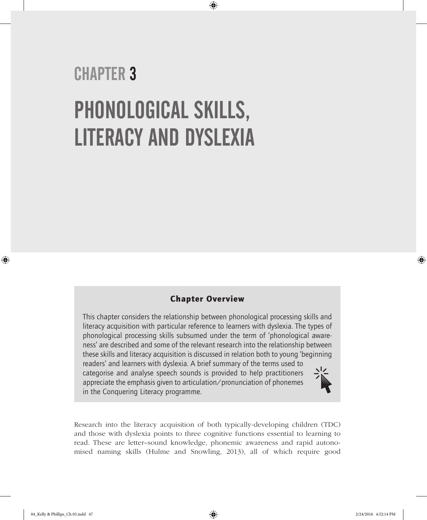# CHAPTER 3 PHONOLOGICAL SKILLS, LITERACY AND DYSLEXIA

# Chapter Overview

⊕

This chapter considers the relationship between phonological processing skills and literacy acquisition with particular reference to learners with dyslexia. The types of phonological processing skills subsumed under the term of 'phonological awareness' are described and some of the relevant research into the relationship between these skills and literacy acquisition is discussed in relation both to young 'beginning readers' and learners with dyslexia. A brief summary of the terms used to categorise and analyse speech sounds is provided to help practitioners appreciate the emphasis given to articulation/pronunciation of phonemes in the Conquering Literacy programme.

Research into the literacy acquisition of both typically-developing children (TDC) and those with dyslexia points to three cognitive functions essential to learning to read. These are letter–sound knowledge, phonemic awareness and rapid autonomised naming skills (Hulme and Snowling, 2013), all of which require good

⊕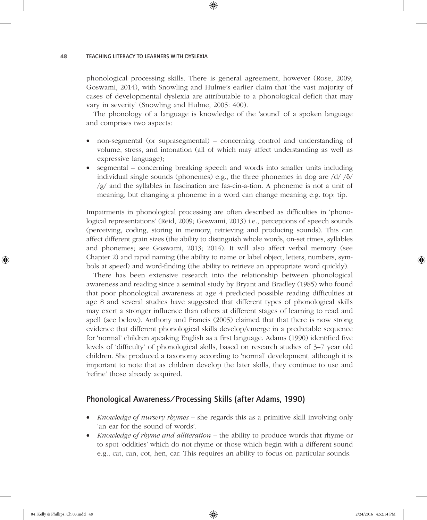phonological processing skills. There is general agreement, however (Rose, 2009; Goswami, 2014), with Snowling and Hulme's earlier claim that 'the vast majority of cases of developmental dyslexia are attributable to a phonological deficit that may vary in severity' (Snowling and Hulme, 2005: 400).

⊕

The phonology of a language is knowledge of the 'sound' of a spoken language and comprises two aspects:

- non-segmental (or suprasegmental) concerning control and understanding of volume, stress, and intonation (all of which may affect understanding as well as expressive language);
- segmental concerning breaking speech and words into smaller units including individual single sounds (phonemes) e.g., the three phonemes in dog are  $\frac{d}{\delta}$  $\sqrt{g}$  and the syllables in fascination are fas-cin-a-tion. A phoneme is not a unit of meaning, but changing a phoneme in a word can change meaning e.g. top; tip.

Impairments in phonological processing are often described as difficulties in 'phonological representations' (Reid, 2009; Goswami, 2013) i.e., perceptions of speech sounds (perceiving, coding, storing in memory, retrieving and producing sounds). This can affect different grain sizes (the ability to distinguish whole words, on-set rimes, syllables and phonemes; see Goswami, 2013; 2014). It will also affect verbal memory (see Chapter 2) and rapid naming (the ability to name or label object, letters, numbers, symbols at speed) and word-finding (the ability to retrieve an appropriate word quickly).

There has been extensive research into the relationship between phonological awareness and reading since a seminal study by Bryant and Bradley (1985) who found that poor phonological awareness at age 4 predicted possible reading difficulties at age 8 and several studies have suggested that different types of phonological skills may exert a stronger influence than others at different stages of learning to read and spell (see below). Anthony and Francis (2005) claimed that that there is now strong evidence that different phonological skills develop/emerge in a predictable sequence for 'normal' children speaking English as a first language. Adams (1990) identified five levels of 'difficulty' of phonological skills, based on research studies of 3–7 year old children. She produced a taxonomy according to 'normal' development, although it is important to note that as children develop the later skills, they continue to use and 'refine' those already acquired.

### Phonological Awareness/Processing Skills (after Adams, 1990)

- *Knowledge of nursery rhymes* she regards this as a primitive skill involving only 'an ear for the sound of words'.
- *Knowledge of rhyme and alliteration* the ability to produce words that rhyme or to spot 'oddities' which do not rhyme or those which begin with a different sound e.g., cat, can, cot, hen, car. This requires an ability to focus on particular sounds.

♠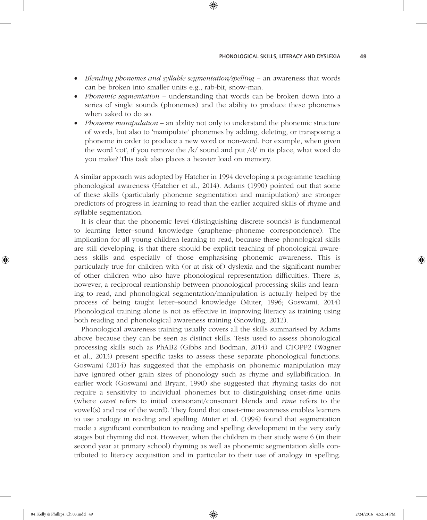• *Blending phonemes and syllable segmentation/spelling* – an awareness that words can be broken into smaller units e.g., rab-bit, snow-man.

⊕

- *Phonemic segmentation* understanding that words can be broken down into a series of single sounds (phonemes) and the ability to produce these phonemes when asked to do so.
- *Phoneme manipulation* an ability not only to understand the phonemic structure of words, but also to 'manipulate' phonemes by adding, deleting, or transposing a phoneme in order to produce a new word or non-word. For example, when given the word 'cot', if you remove the  $/k/$  sound and put  $\frac{d}{dx}$  in its place, what word do you make? This task also places a heavier load on memory.

A similar approach was adopted by Hatcher in 1994 developing a programme teaching phonological awareness (Hatcher et al., 2014). Adams (1990) pointed out that some of these skills (particularly phoneme segmentation and manipulation) are stronger predictors of progress in learning to read than the earlier acquired skills of rhyme and syllable segmentation.

It is clear that the phonemic level (distinguishing discrete sounds) is fundamental to learning letter–sound knowledge (grapheme–phoneme correspondence). The implication for all young children learning to read, because these phonological skills are still developing, is that there should be explicit teaching of phonological awareness skills and especially of those emphasising phonemic awareness. This is particularly true for children with (or at risk of) dyslexia and the significant number of other children who also have phonological representation difficulties. There is, however, a reciprocal relationship between phonological processing skills and learning to read, and phonological segmentation/manipulation is actually helped by the process of being taught letter–sound knowledge (Muter, 1996; Goswami, 2014) Phonological training alone is not as effective in improving literacy as training using both reading and phonological awareness training (Snowling, 2012).

Phonological awareness training usually covers all the skills summarised by Adams above because they can be seen as distinct skills. Tests used to assess phonological processing skills such as PhAB2 (Gibbs and Bodman, 2014) and CTOPP2 (Wagner et al., 2013) present specific tasks to assess these separate phonological functions. Goswami (2014) has suggested that the emphasis on phonemic manipulation may have ignored other grain sizes of phonology such as rhyme and syllabification. In earlier work (Goswami and Bryant, 1990) she suggested that rhyming tasks do not require a sensitivity to individual phonemes but to distinguishing onset-rime units (where *onset* refers to initial consonant/consonant blends and *rime* refers to the vowel(s) and rest of the word). They found that onset-rime awareness enables learners to use analogy in reading and spelling. Muter et al. (1994) found that segmentation made a significant contribution to reading and spelling development in the very early stages but rhyming did not. However, when the children in their study were 6 (in their second year at primary school) rhyming as well as phonemic segmentation skills contributed to literacy acquisition and in particular to their use of analogy in spelling.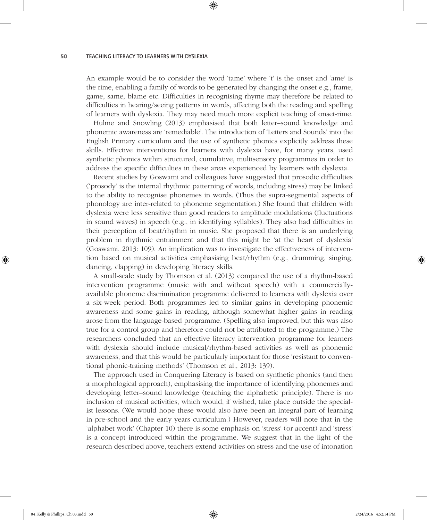An example would be to consider the word 'tame' where 't' is the onset and 'ame' is the rime, enabling a family of words to be generated by changing the onset e.g., frame, game, same, blame etc. Difficulties in recognising rhyme may therefore be related to difficulties in hearing/seeing patterns in words, affecting both the reading and spelling of learners with dyslexia. They may need much more explicit teaching of onset-rime.

⊕

Hulme and Snowling (2013) emphasised that both letter–sound knowledge and phonemic awareness are 'remediable'. The introduction of 'Letters and Sounds' into the English Primary curriculum and the use of synthetic phonics explicitly address these skills. Effective interventions for learners with dyslexia have, for many years, used synthetic phonics within structured, cumulative, multisensory programmes in order to address the specific difficulties in these areas experienced by learners with dyslexia.

Recent studies by Goswami and colleagues have suggested that prosodic difficulties ('prosody' is the internal rhythmic patterning of words, including stress) may be linked to the ability to recognise phonemes in words. (Thus the supra-segmental aspects of phonology are inter-related to phoneme segmentation.) She found that children with dyslexia were less sensitive than good readers to amplitude modulations (fluctuations in sound waves) in speech (e.g., in identifying syllables). They also had difficulties in their perception of beat/rhythm in music. She proposed that there is an underlying problem in rhythmic entrainment and that this might be 'at the heart of dyslexia' (Goswami, 2013: 109). An implication was to investigate the effectiveness of intervention based on musical activities emphasising beat/rhythm (e.g., drumming, singing, dancing, clapping) in developing literacy skills.

A small-scale study by Thomson et al. (2013) compared the use of a rhythm-based intervention programme (music with and without speech) with a commerciallyavailable phoneme discrimination programme delivered to learners with dyslexia over a six-week period. Both programmes led to similar gains in developing phonemic awareness and some gains in reading, although somewhat higher gains in reading arose from the language-based programme. (Spelling also improved, but this was also true for a control group and therefore could not be attributed to the programme.) The researchers concluded that an effective literacy intervention programme for learners with dyslexia should include musical/rhythm-based activities as well as phonemic awareness, and that this would be particularly important for those 'resistant to conventional phonic-training methods' (Thomson et al., 2013: 139).

The approach used in Conquering Literacy is based on synthetic phonics (and then a morphological approach), emphasising the importance of identifying phonemes and developing letter–sound knowledge (teaching the alphabetic principle). There is no inclusion of musical activities, which would, if wished, take place outside the specialist lessons. (We would hope these would also have been an integral part of learning in pre-school and the early years curriculum.) However, readers will note that in the 'alphabet work' (Chapter 10) there is some emphasis on 'stress' (or accent) and 'stress' is a concept introduced within the programme. We suggest that in the light of the research described above, teachers extend activities on stress and the use of intonation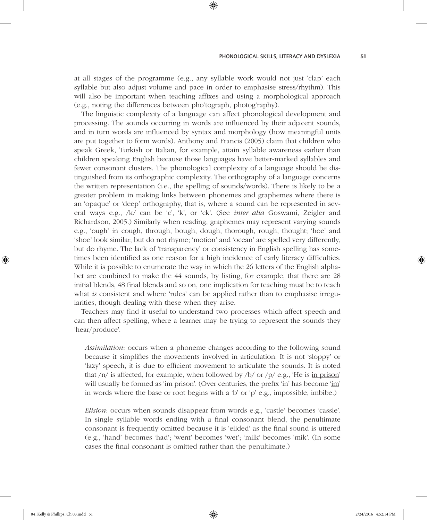at all stages of the programme (e.g., any syllable work would not just 'clap' each syllable but also adjust volume and pace in order to emphasise stress/rhythm). This will also be important when teaching affixes and using a morphological approach (e.g., noting the differences between pho'tograph, photog'raphy).

⊕

The linguistic complexity of a language can affect phonological development and processing. The sounds occurring in words are influenced by their adjacent sounds, and in turn words are influenced by syntax and morphology (how meaningful units are put together to form words). Anthony and Francis (2005) claim that children who speak Greek, Turkish or Italian, for example, attain syllable awareness earlier than children speaking English because those languages have better-marked syllables and fewer consonant clusters. The phonological complexity of a language should be distinguished from its orthographic complexity. The orthography of a language concerns the written representation (i.e., the spelling of sounds/words). There is likely to be a greater problem in making links between phonemes and graphemes where there is an 'opaque' or 'deep' orthography, that is, where a sound can be represented in several ways e.g., /k/ can be 'c', 'k', or 'ck'. (See *inter alia* Goswami, Zeigler and Richardson, 2005.) Similarly when reading, graphemes may represent varying sounds e.g., 'ough' in cough, through, bough, dough, thorough, rough, thought; 'hoe' and 'shoe' look similar, but do not rhyme; 'motion' and 'ocean' are spelled very differently, but do rhyme. The lack of 'transparency' or consistency in English spelling has sometimes been identified as one reason for a high incidence of early literacy difficulties. While it is possible to enumerate the way in which the 26 letters of the English alphabet are combined to make the 44 sounds, by listing, for example, that there are 28 initial blends, 48 final blends and so on, one implication for teaching must be to teach what *is* consistent and where 'rules' can be applied rather than to emphasise irregularities, though dealing with these when they arise.

Teachers may find it useful to understand two processes which affect speech and can then affect spelling, where a learner may be trying to represent the sounds they 'hear/produce'.

*Assimilation*: occurs when a phoneme changes according to the following sound because it simplifies the movements involved in articulation. It is not 'sloppy' or 'lazy' speech, it is due to efficient movement to articulate the sounds. It is noted that  $/n/$  is affected, for example, when followed by  $/b/$  or  $/p/$  e.g., 'He is in prison' will usually be formed as 'im prison'. (Over centuries, the prefix 'in' has become 'im' in words where the base or root begins with a 'b' or 'p' e.g., impossible, imbibe.)

*Elision*: occurs when sounds disappear from words e.g., 'castle' becomes 'cassle'. In single syllable words ending with a final consonant blend, the penultimate consonant is frequently omitted because it is 'elided' as the final sound is uttered (e.g., 'hand' becomes 'had'; 'went' becomes 'wet'; 'milk' becomes 'mik'. (In some cases the final consonant is omitted rather than the penultimate.)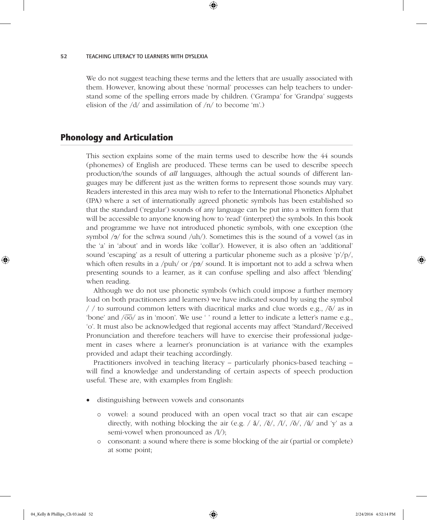We do not suggest teaching these terms and the letters that are usually associated with them. However, knowing about these 'normal' processes can help teachers to understand some of the spelling errors made by children. ('Grampa' for 'Grandpa' suggests elision of the /d/ and assimilation of /n/ to become 'm'.)

⊕

# Phonology and Articulation

This section explains some of the main terms used to describe how the 44 sounds (phonemes) of English are produced. These terms can be used to describe speech production/the sounds of *all* languages, although the actual sounds of different languages may be different just as the written forms to represent those sounds may vary. Readers interested in this area may wish to refer to the International Phonetics Alphabet (IPA) where a set of internationally agreed phonetic symbols has been established so that the standard ('regular') sounds of any language can be put into a written form that will be accessible to anyone knowing how to 'read' (interpret) the symbols. In this book and programme we have not introduced phonetic symbols, with one exception (the symbol  $/9$  for the schwa sound  $/uh/$ ). Sometimes this is the sound of a vowel (as in the 'a' in 'about' and in words like 'collar'). However, it is also often an 'additional' sound 'escaping' as a result of uttering a particular phoneme such as a plosive 'p'/p/, which often results in a /puh/ or /p $\frac{9}{9}$ / sound. It is important not to add a schwa when presenting sounds to a learner, as it can confuse spelling and also affect 'blending' when reading.

Although we do not use phonetic symbols (which could impose a further memory load on both practitioners and learners) we have indicated sound by using the symbol / / to surround common letters with diacritical marks and clue words e.g.,  $\sqrt{5}$  as in 'bone' and  $\sqrt{oo}$  as in 'moon'. We use '' round a letter to indicate a letter's name e.g., 'o'. It must also be acknowledged that regional accents may affect 'Standard'/Received Pronunciation and therefore teachers will have to exercise their professional judgement in cases where a learner's pronunciation is at variance with the examples provided and adapt their teaching accordingly.

Practitioners involved in teaching literacy – particularly phonics-based teaching – will find a knowledge and understanding of certain aspects of speech production useful. These are, with examples from English:

- distinguishing between vowels and consonants
	- { vowel: a sound produced with an open vocal tract so that air can escape directly, with nothing blocking the air (e.g. /  $\check{a}$ /, / $\check{e}$ /, / $\check{i}$ /, / $\check{o}$ /, / $\check{u}$ / and 'y' as a semi-vowel when pronounced as /ĭ/);
	- { consonant: a sound where there is some blocking of the air (partial or complete) at some point;

04\_Kelly & Phillips\_Ch 03.indd 52 2/24/2016 4:52:14 PM

♠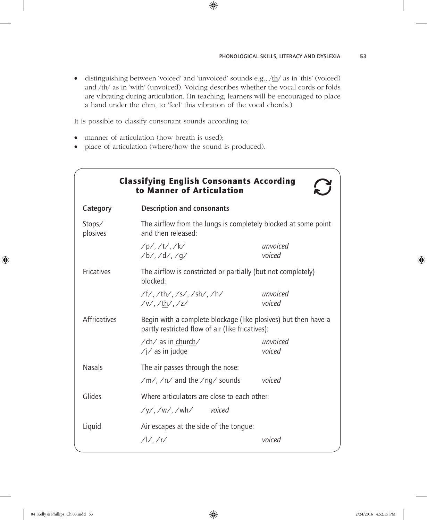#### PHONOLOGICAL SKILLS, LITERACY AND DYSLEXIA 53

 $\bullet$  distinguishing between 'voiced' and 'unvoiced' sounds e.g.,  $/\text{th}/\text{ as in 'this' (voiced)}$ and /th/ as in 'with' (unvoiced). Voicing describes whether the vocal cords or folds are vibrating during articulation. (In teaching, learners will be encouraged to place a hand under the chin, to 'feel' this vibration of the vocal chords.)

 $\bigoplus$ 

It is possible to classify consonant sounds according to:

- manner of articulation (how breath is used);
- place of articulation (where/how the sound is produced).

| <b>Classifying English Consonants According</b><br>to Manner of Articulation |                                                                                                                    |                    |  |  |
|------------------------------------------------------------------------------|--------------------------------------------------------------------------------------------------------------------|--------------------|--|--|
| Category                                                                     | Description and consonants                                                                                         |                    |  |  |
| Stops/<br>plosives                                                           | The airflow from the lungs is completely blocked at some point<br>and then released:                               |                    |  |  |
|                                                                              | $/p/$ , /t/, /k/<br>$/b/$ , $/d/$ , $/q/$                                                                          | unvoiced<br>voiced |  |  |
| <b>Fricatives</b>                                                            | The airflow is constricted or partially (but not completely)<br>blocked:                                           |                    |  |  |
|                                                                              | /f/, /th/, /s/, /sh/, /h/<br>$/v/$ , /th/, /z/                                                                     | unvoiced<br>voiced |  |  |
| <b>Affricatives</b>                                                          | Begin with a complete blockage (like plosives) but then have a<br>partly restricted flow of air (like fricatives): |                    |  |  |
|                                                                              | $\sqrt{ch}$ as in church/<br>$\frac{1}{2}$ as in judge                                                             | unvoiced<br>voiced |  |  |
| <b>Nasals</b>                                                                | The air passes through the nose:                                                                                   |                    |  |  |
|                                                                              | /m/,/n/ and the/ng/ sounds                                                                                         | voiced             |  |  |
| Glides                                                                       | Where articulators are close to each other:                                                                        |                    |  |  |
|                                                                              | $\frac{1}{\sqrt{V}}$ , $\frac{1}{W}$ , $\frac{1}{W}$ voiced                                                        |                    |  |  |
| Liquid                                                                       | Air escapes at the side of the tongue:                                                                             |                    |  |  |
|                                                                              | $/$ $//$ $/$ r/                                                                                                    | voiced             |  |  |

⊕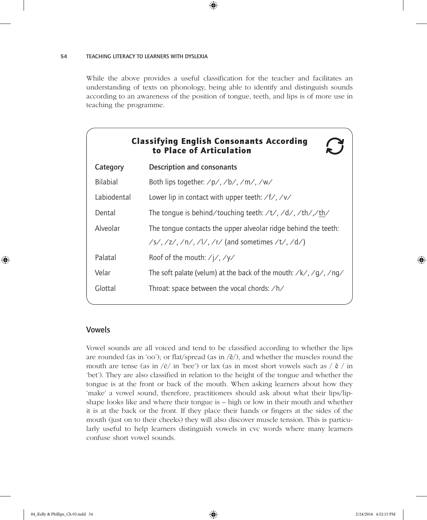While the above provides a useful classification for the teacher and facilitates an understanding of texts on phonology, being able to identify and distinguish sounds according to an awareness of the position of tongue, teeth, and lips is of more use in teaching the programme.

 $\bigoplus$ 

|                                                                                              | <b>Classifying English Consonants According</b><br>to Place of Articulation                               |  |
|----------------------------------------------------------------------------------------------|-----------------------------------------------------------------------------------------------------------|--|
| Category                                                                                     | <b>Description and consonants</b>                                                                         |  |
| <b>Bilabial</b>                                                                              | Both lips together: $\frac{p}{\lambda}$ , $\frac{1}{\lambda}$ , $\frac{1}{\lambda}$ , $\frac{1}{\lambda}$ |  |
| Labiodental                                                                                  | Lower lip in contact with upper teeth: $/f/$ , /v/                                                        |  |
| Dental                                                                                       | The tonque is behind/touching teeth: $/t$ , $/d$ , $-th$ , $-th$                                          |  |
| Alveolar                                                                                     | The tongue contacts the upper alveolar ridge behind the teeth:                                            |  |
|                                                                                              | /s/, /z/, /n/, /l/, /r/ (and sometimes /t/, /d/)                                                          |  |
| Palatal                                                                                      | Roof of the mouth: $\frac{\sqrt{}}{\sqrt{}}$                                                              |  |
| The soft palate (velum) at the back of the mouth: $\frac{\sqrt{g}}{\sqrt{g}}$ / ng/<br>Velar |                                                                                                           |  |
| Glottal<br>Throat: space between the vocal chords: /h/                                       |                                                                                                           |  |
|                                                                                              |                                                                                                           |  |

# Vowels

Vowel sounds are all voiced and tend to be classified according to whether the lips are rounded (as in 'oo'); or flat/spread (as in  $\langle \check{e}/\rangle$ , and whether the muscles round the mouth are tense (as in / $\bar{e}$ / in 'bee') or lax (as in most short vowels such as / $\tilde{e}$ / in 'bet'). They are also classified in relation to the height of the tongue and whether the tongue is at the front or back of the mouth. When asking learners about how they 'make' a vowel sound, therefore, practitioners should ask about what their lips/lipshape looks like and where their tongue is – high or low in their mouth and whether it is at the back or the front. If they place their hands or fingers at the sides of the mouth (just on to their cheeks) they will also discover muscle tension. This is particularly useful to help learners distinguish vowels in cvc words where many learners confuse short vowel sounds.

♠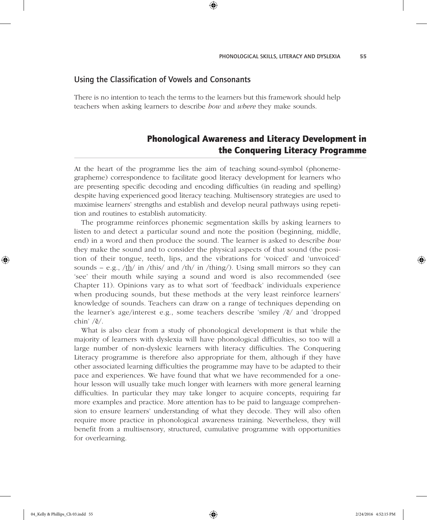# Using the Classification of Vowels and Consonants

There is no intention to teach the terms to the learners but this framework should help teachers when asking learners to describe *how* and *where* they make sounds.

⊕

# Phonological Awareness and Literacy Development in the Conquering Literacy Programme

At the heart of the programme lies the aim of teaching sound-symbol (phonemegrapheme) correspondence to facilitate good literacy development for learners who are presenting specific decoding and encoding difficulties (in reading and spelling) despite having experienced good literacy teaching. Multisensory strategies are used to maximise learners' strengths and establish and develop neural pathways using repetition and routines to establish automaticity.

The programme reinforces phonemic segmentation skills by asking learners to listen to and detect a particular sound and note the position (beginning, middle, end) in a word and then produce the sound. The learner is asked to describe *how* they make the sound and to consider the physical aspects of that sound (the position of their tongue, teeth, lips, and the vibrations for 'voiced' and 'unvoiced' sounds – e.g., /th/ in /this/ and /th/ in /thing/). Using small mirrors so they can 'see' their mouth while saying a sound and word is also recommended (see Chapter 11). Opinions vary as to what sort of 'feedback' individuals experience when producing sounds, but these methods at the very least reinforce learners' knowledge of sounds. Teachers can draw on a range of techniques depending on the learner's age/interest e.g., some teachers describe 'smiley /ē/ and 'dropped chin' /ĕ/.

What is also clear from a study of phonological development is that while the majority of learners with dyslexia will have phonological difficulties, so too will a large number of non-dyslexic learners with literacy difficulties. The Conquering Literacy programme is therefore also appropriate for them, although if they have other associated learning difficulties the programme may have to be adapted to their pace and experiences. We have found that what we have recommended for a onehour lesson will usually take much longer with learners with more general learning difficulties. In particular they may take longer to acquire concepts, requiring far more examples and practice. More attention has to be paid to language comprehension to ensure learners' understanding of what they decode. They will also often require more practice in phonological awareness training. Nevertheless, they will benefit from a multisensory, structured, cumulative programme with opportunities for overlearning.

♠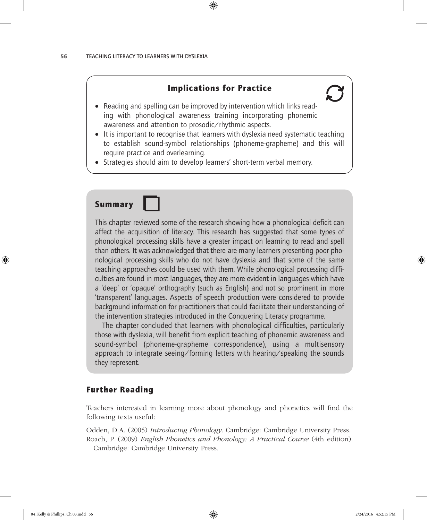# Implications for Practice

⊕

- 
- Reading and spelling can be improved by intervention which links reading with phonological awareness training incorporating phonemic awareness and attention to prosodic/rhythmic aspects.
- It is important to recognise that learners with dyslexia need systematic teaching to establish sound-symbol relationships (phoneme-grapheme) and this will require practice and overlearning.
- Strategies should aim to develop learners' short-term verbal memory.

# Summary

This chapter reviewed some of the research showing how a phonological deficit can affect the acquisition of literacy. This research has suggested that some types of phonological processing skills have a greater impact on learning to read and spell than others. It was acknowledged that there are many learners presenting poor phonological processing skills who do not have dyslexia and that some of the same teaching approaches could be used with them. While phonological processing difficulties are found in most languages, they are more evident in languages which have a 'deep' or 'opaque' orthography (such as English) and not so prominent in more 'transparent' languages. Aspects of speech production were considered to provide background information for practitioners that could facilitate their understanding of the intervention strategies introduced in the Conquering Literacy programme.

The chapter concluded that learners with phonological difficulties, particularly those with dyslexia, will benefit from explicit teaching of phonemic awareness and sound-symbol (phoneme-grapheme correspondence), using a multisensory approach to integrate seeing/forming letters with hearing/speaking the sounds they represent.

# Further Reading

Teachers interested in learning more about phonology and phonetics will find the following texts useful:

Odden, D.A. (2005) *Introducing Phonology*. Cambridge: Cambridge University Press. Roach, P. (2009) *English Phonetics and Phonology: A Practical Course* (4th edition). Cambridge: Cambridge University Press.

♠

♠